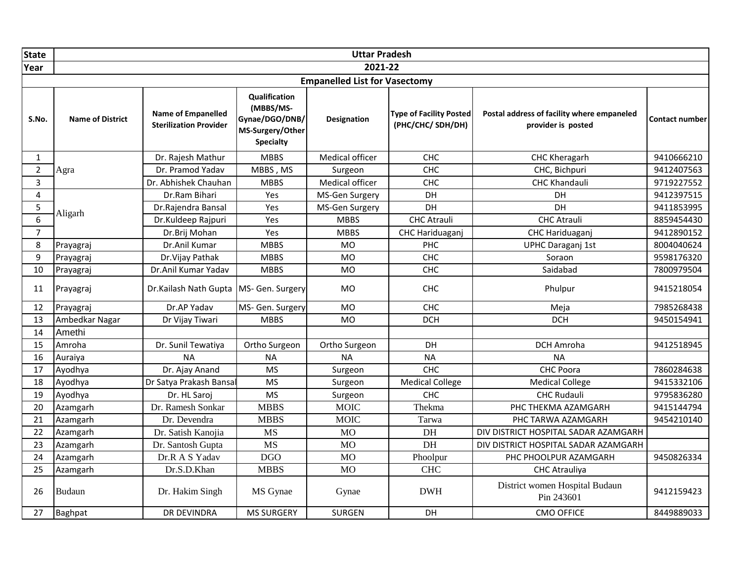| <b>State</b>   |                         |                                                     |                                                                                      | <b>Uttar Pradesh</b>                 |                                                    |                                                                  |                       |
|----------------|-------------------------|-----------------------------------------------------|--------------------------------------------------------------------------------------|--------------------------------------|----------------------------------------------------|------------------------------------------------------------------|-----------------------|
| Year           |                         |                                                     |                                                                                      | 2021-22                              |                                                    |                                                                  |                       |
|                |                         |                                                     |                                                                                      | <b>Empanelled List for Vasectomy</b> |                                                    |                                                                  |                       |
| S.No.          | <b>Name of District</b> | Name of Empanelled<br><b>Sterilization Provider</b> | Qualification<br>(MBBS/MS-<br>Gynae/DGO/DNB/<br>MS-Surgery/Other<br><b>Specialty</b> | <b>Designation</b>                   | <b>Type of Facility Posted</b><br>(PHC/CHC/SDH/DH) | Postal address of facility where empaneled<br>provider is posted | <b>Contact number</b> |
| $\mathbf{1}$   |                         | Dr. Rajesh Mathur                                   | <b>MBBS</b>                                                                          | Medical officer                      | CHC                                                | CHC Kheragarh                                                    | 9410666210            |
| $\overline{2}$ | Agra                    | Dr. Pramod Yadav                                    | MBBS, MS                                                                             | Surgeon                              | CHC                                                | CHC, Bichpuri                                                    | 9412407563            |
| 3              |                         | Dr. Abhishek Chauhan                                | <b>MBBS</b>                                                                          | Medical officer                      | CHC                                                | <b>CHC Khandauli</b>                                             | 9719227552            |
| 4              |                         | Dr.Ram Bihari                                       | Yes                                                                                  | MS-Gen Surgery                       | DH                                                 | DH                                                               | 9412397515            |
| 5              | Aligarh                 | Dr.Rajendra Bansal                                  | Yes                                                                                  | MS-Gen Surgery                       | DH                                                 | <b>DH</b>                                                        | 9411853995            |
| 6              |                         | Dr.Kuldeep Rajpuri                                  | Yes                                                                                  | <b>MBBS</b>                          | <b>CHC Atrauli</b>                                 | <b>CHC Atrauli</b>                                               | 8859454430            |
| $\overline{7}$ | Prayagraj               | Dr.Brij Mohan                                       | Yes                                                                                  | <b>MBBS</b>                          | CHC Hariduaganj                                    | CHC Hariduaganj                                                  | 9412890152            |
| 8              |                         | Dr.Anil Kumar                                       | <b>MBBS</b>                                                                          | <b>MO</b>                            | PHC                                                | <b>UPHC Daraganj 1st</b>                                         | 8004040624            |
| 9              | Prayagraj               | Dr. Vijay Pathak                                    | <b>MBBS</b>                                                                          | <b>MO</b>                            | CHC                                                | Soraon                                                           | 9598176320            |
| 10             | Prayagraj               | Dr.Anil Kumar Yadav                                 | <b>MBBS</b>                                                                          | <b>MO</b>                            | CHC                                                | Saidabad                                                         | 7800979504            |
| 11             | Prayagraj               | Dr.Kailash Nath Gupta   MS- Gen. Surgery            |                                                                                      | <b>MO</b>                            | CHC                                                | Phulpur                                                          | 9415218054            |
| 12             | Prayagraj               | Dr.AP Yadav                                         | MS- Gen. Surgery                                                                     | <b>MO</b>                            | CHC                                                | Meja                                                             | 7985268438            |
| 13             | Ambedkar Nagar          | Dr Vijay Tiwari                                     | <b>MBBS</b>                                                                          | <b>MO</b>                            | <b>DCH</b>                                         | <b>DCH</b>                                                       | 9450154941            |
| 14             | Amethi                  |                                                     |                                                                                      |                                      |                                                    |                                                                  |                       |
| 15             | Amroha                  | Dr. Sunil Tewatiya                                  | Ortho Surgeon                                                                        | Ortho Surgeon                        | DH                                                 | DCH Amroha                                                       | 9412518945            |
| 16             | Auraiya                 | <b>NA</b>                                           | <b>NA</b>                                                                            | <b>NA</b>                            | <b>NA</b>                                          | <b>NA</b>                                                        |                       |
| 17             | Ayodhya                 | Dr. Ajay Anand                                      | <b>MS</b>                                                                            | Surgeon                              | CHC                                                | CHC Poora                                                        | 7860284638            |
| 18             | Ayodhya                 | Dr Satya Prakash Bansa                              | <b>MS</b>                                                                            | Surgeon                              | <b>Medical College</b>                             | <b>Medical College</b>                                           | 9415332106            |
| 19             | Ayodhya                 | Dr. HL Saroj                                        | <b>MS</b>                                                                            | Surgeon                              | CHC                                                | <b>CHC Rudauli</b>                                               | 9795836280            |
| 20             | Azamgarh                | Dr. Ramesh Sonkar                                   | <b>MBBS</b>                                                                          | <b>MOIC</b>                          | Thekma                                             | PHC THEKMA AZAMGARH                                              | 9415144794            |
| 21             | Azamgarh                | Dr. Devendra                                        | <b>MBBS</b>                                                                          | <b>MOIC</b>                          | Tarwa                                              | PHC TARWA AZAMGARH                                               | 9454210140            |
| 22             | Azamgarh                | Dr. Satish Kanojia                                  | <b>MS</b>                                                                            | <b>MO</b>                            | DH                                                 | DIV DISTRICT HOSPITAL SADAR AZAMGARH                             |                       |
| 23             | Azamgarh                | Dr. Santosh Gupta                                   | <b>MS</b>                                                                            | <b>MO</b>                            | DH                                                 | DIV DISTRICT HOSPITAL SADAR AZAMGARH                             |                       |
| 24             | Azamgarh                | Dr.R A S Yadav                                      | <b>DGO</b>                                                                           | <b>MO</b>                            | Phoolpur                                           | PHC PHOOLPUR AZAMGARH                                            | 9450826334            |
| 25             | Azamgarh                | Dr.S.D.Khan                                         | <b>MBBS</b>                                                                          | <b>MO</b>                            | <b>CHC</b>                                         | <b>CHC Atrauliya</b>                                             |                       |
| 26             | <b>Budaun</b>           | Dr. Hakim Singh                                     | MS Gynae                                                                             | Gynae                                | <b>DWH</b>                                         | District women Hospital Budaun<br>Pin 243601                     | 9412159423            |
| 27             | Baghpat                 | DR DEVINDRA                                         | <b>MS SURGERY</b>                                                                    | <b>SURGEN</b>                        | DH                                                 | <b>CMO OFFICE</b>                                                | 8449889033            |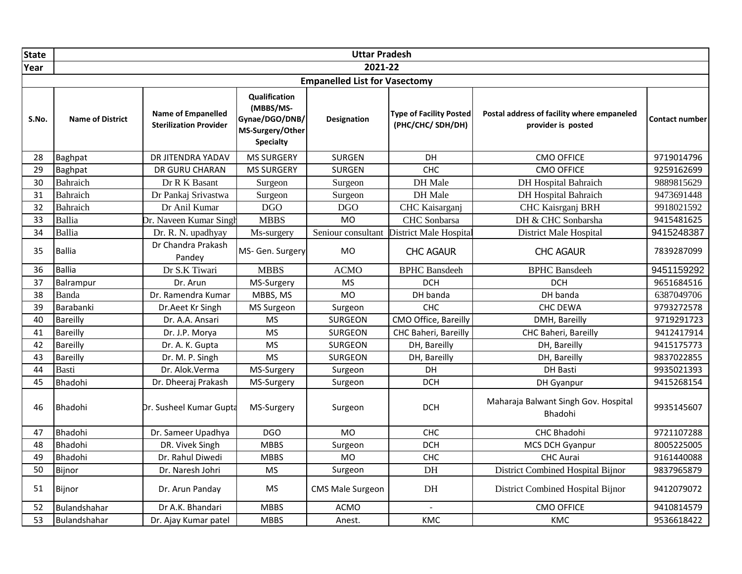| <b>State</b> |                         |                                                            |                                                                                      | <b>Uttar Pradesh</b>                 |                                                    |                                                                  |                       |
|--------------|-------------------------|------------------------------------------------------------|--------------------------------------------------------------------------------------|--------------------------------------|----------------------------------------------------|------------------------------------------------------------------|-----------------------|
| Year         |                         |                                                            |                                                                                      | 2021-22                              |                                                    |                                                                  |                       |
|              |                         |                                                            |                                                                                      | <b>Empanelled List for Vasectomy</b> |                                                    |                                                                  |                       |
| S.No.        | <b>Name of District</b> | <b>Name of Empanelled</b><br><b>Sterilization Provider</b> | Qualification<br>(MBBS/MS-<br>Gynae/DGO/DNB/<br>MS-Surgery/Other<br><b>Specialty</b> | <b>Designation</b>                   | <b>Type of Facility Posted</b><br>(PHC/CHC/SDH/DH) | Postal address of facility where empaneled<br>provider is posted | <b>Contact number</b> |
| 28           | Baghpat                 | DR JITENDRA YADAV                                          | <b>MS SURGERY</b>                                                                    | <b>SURGEN</b>                        | DH                                                 | <b>CMO OFFICE</b>                                                | 9719014796            |
| 29           | Baghpat                 | DR GURU CHARAN                                             | <b>MS SURGERY</b>                                                                    | SURGEN                               | CHC                                                | <b>CMO OFFICE</b>                                                | 9259162699            |
| 30           | Bahraich                | Dr R K Basant                                              | Surgeon                                                                              | Surgeon                              | DH Male                                            | <b>DH</b> Hospital Bahraich                                      | 9889815629            |
| 31           | Bahraich                | Dr Pankaj Srivastwa                                        | Surgeon                                                                              | Surgeon                              | DH Male                                            | <b>DH</b> Hospital Bahraich                                      | 9473691448            |
| 32           | Bahraich                | Dr Anil Kumar                                              | <b>DGO</b>                                                                           | <b>DGO</b>                           | CHC Kaisarganj                                     | CHC Kaisrganj BRH                                                | 9918021592            |
| 33           | <b>Ballia</b>           | Dr. Naveen Kumar Singh                                     | <b>MBBS</b>                                                                          | <b>MO</b>                            | CHC Sonbarsa                                       | DH & CHC Sonbarsha                                               | 9415481625            |
| 34           | Ballia                  | Dr. R. N. upadhyay                                         | Ms-surgery                                                                           | Seniour consultant                   | <b>District Male Hospital</b>                      | <b>District Male Hospital</b>                                    | 9415248387            |
| 35           | <b>Ballia</b>           | Dr Chandra Prakash<br>Pandey                               | MS- Gen. Surgery                                                                     | <b>MO</b>                            | <b>CHC AGAUR</b>                                   | <b>CHC AGAUR</b>                                                 | 7839287099            |
| 36           | <b>Ballia</b>           | Dr S.K Tiwari                                              | <b>MBBS</b>                                                                          | <b>ACMO</b>                          | <b>BPHC</b> Bansdeeh                               | <b>BPHC</b> Bansdeeh                                             | 9451159292            |
| 37           | Balrampur               | Dr. Arun                                                   | MS-Surgery                                                                           | <b>MS</b>                            | <b>DCH</b>                                         | <b>DCH</b>                                                       | 9651684516            |
| 38           | Banda                   | Dr. Ramendra Kumar                                         | MBBS, MS                                                                             | <b>MO</b>                            | DH banda                                           | DH banda                                                         | 6387049706            |
| 39           | Barabanki               | Dr.Aeet Kr Singh                                           | MS Surgeon                                                                           | Surgeon                              | <b>CHC</b>                                         | <b>CHC DEWA</b>                                                  | 9793272578            |
| 40           | <b>Bareilly</b>         | Dr. A.A. Ansari                                            | <b>MS</b>                                                                            | <b>SURGEON</b>                       | CMO Office, Bareilly                               | DMH, Bareilly                                                    | 9719291723            |
| 41           | <b>Bareilly</b>         | Dr. J.P. Morya                                             | <b>MS</b>                                                                            | <b>SURGEON</b>                       | CHC Baheri, Bareilly                               | CHC Baheri, Bareilly                                             | 9412417914            |
| 42           | <b>Bareilly</b>         | Dr. A. K. Gupta                                            | <b>MS</b>                                                                            | <b>SURGEON</b>                       | DH, Bareilly                                       | DH, Bareilly                                                     | 9415175773            |
| 43           | <b>Bareilly</b>         | Dr. M. P. Singh                                            | <b>MS</b>                                                                            | <b>SURGEON</b>                       | DH, Bareilly                                       | DH, Bareilly                                                     | 9837022855            |
| 44           | <b>Basti</b>            | Dr. Alok.Verma                                             | MS-Surgery                                                                           | Surgeon                              | DH                                                 | DH Basti                                                         | 9935021393            |
| 45           | Bhadohi                 | Dr. Dheeraj Prakash                                        | MS-Surgery                                                                           | Surgeon                              | <b>DCH</b>                                         | DH Gyanpur                                                       | 9415268154            |
| 46           | Bhadohi                 | Dr. Susheel Kumar Gupta                                    | MS-Surgery                                                                           | Surgeon                              | <b>DCH</b>                                         | Maharaja Balwant Singh Gov. Hospital<br>Bhadohi                  | 9935145607            |
| 47           | Bhadohi                 | Dr. Sameer Upadhya                                         | <b>DGO</b>                                                                           | <b>MO</b>                            | CHC                                                | CHC Bhadohi                                                      | 9721107288            |
| 48           | <b>Bhadohi</b>          | DR. Vivek Singh                                            | <b>MBBS</b>                                                                          | Surgeon                              | <b>DCH</b>                                         | MCS DCH Gyanpur                                                  | 8005225005            |
| 49           | Bhadohi                 | Dr. Rahul Diwedi                                           | <b>MBBS</b>                                                                          | <b>MO</b>                            | CHC                                                | <b>CHC</b> Aurai                                                 | 9161440088            |
| 50           | Bijnor                  | Dr. Naresh Johri                                           | <b>MS</b>                                                                            | Surgeon                              | DH                                                 | District Combined Hospital Bijnor                                | 9837965879            |
| 51           | Bijnor                  | Dr. Arun Panday                                            | <b>MS</b>                                                                            | <b>CMS Male Surgeon</b>              | DH                                                 | District Combined Hospital Bijnor                                | 9412079072            |
| 52           | Bulandshahar            | Dr A.K. Bhandari                                           | <b>MBBS</b>                                                                          | <b>ACMO</b>                          |                                                    | <b>CMO OFFICE</b>                                                | 9410814579            |
| 53           | Bulandshahar            | Dr. Ajay Kumar patel                                       | <b>MBBS</b>                                                                          | Anest.                               | KMC                                                | KMC                                                              | 9536618422            |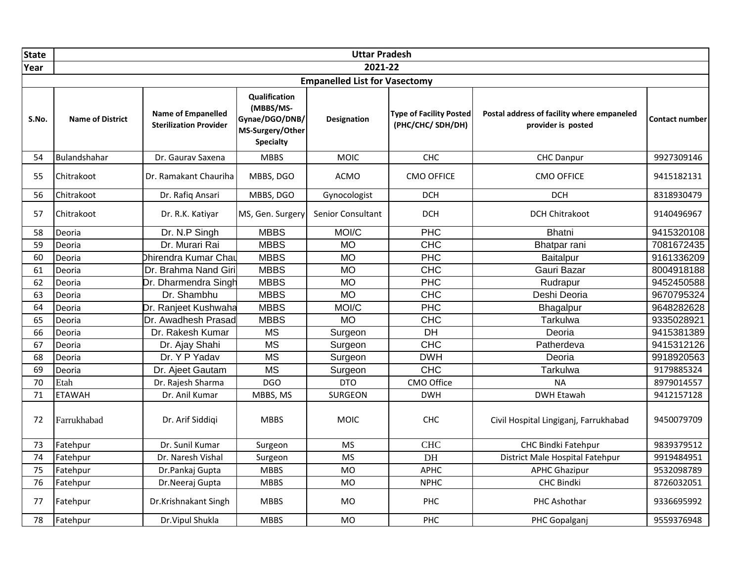| <b>State</b> |                         |                                                     |                                                                                      | <b>Uttar Pradesh</b>                 |                                                    |                                                                  |                       |
|--------------|-------------------------|-----------------------------------------------------|--------------------------------------------------------------------------------------|--------------------------------------|----------------------------------------------------|------------------------------------------------------------------|-----------------------|
| Year         |                         |                                                     |                                                                                      | 2021-22                              |                                                    |                                                                  |                       |
|              |                         |                                                     |                                                                                      | <b>Empanelled List for Vasectomy</b> |                                                    |                                                                  |                       |
| S.No.        | <b>Name of District</b> | Name of Empanelled<br><b>Sterilization Provider</b> | Qualification<br>(MBBS/MS-<br>Gynae/DGO/DNB/<br>MS-Surgery/Other<br><b>Specialty</b> | Designation                          | <b>Type of Facility Posted</b><br>(PHC/CHC/SDH/DH) | Postal address of facility where empaneled<br>provider is posted | <b>Contact number</b> |
| 54           | Bulandshahar            | Dr. Gaurav Saxena                                   | <b>MBBS</b>                                                                          | <b>MOIC</b>                          | CHC                                                | <b>CHC Danpur</b>                                                | 9927309146            |
| 55           | Chitrakoot              | Dr. Ramakant Chauriha                               | MBBS, DGO                                                                            | <b>ACMO</b>                          | <b>CMO OFFICE</b>                                  | <b>CMO OFFICE</b>                                                | 9415182131            |
| 56           | Chitrakoot              | Dr. Rafiq Ansari                                    | MBBS, DGO                                                                            | Gynocologist                         | <b>DCH</b>                                         | <b>DCH</b>                                                       | 8318930479            |
| 57           | Chitrakoot              | Dr. R.K. Katiyar                                    | MS, Gen. Surgery                                                                     | <b>Senior Consultant</b>             | <b>DCH</b>                                         | <b>DCH Chitrakoot</b>                                            | 9140496967            |
| 58           | Deoria                  | Dr. N.P Singh                                       | <b>MBBS</b>                                                                          | MOI/C                                | PHC                                                | <b>Bhatni</b>                                                    | 9415320108            |
| 59           | Deoria                  | Dr. Murari Rai                                      | <b>MBBS</b>                                                                          | <b>MO</b>                            | <b>CHC</b>                                         | Bhatpar rani                                                     | 7081672435            |
| 60           | Deoria                  | Dhirendra Kumar Chau                                | <b>MBBS</b>                                                                          | <b>MO</b>                            | <b>PHC</b>                                         | Baitalpur                                                        | 9161336209            |
| 61           | Deoria                  | Dr. Brahma Nand Giri                                | <b>MBBS</b>                                                                          | <b>MO</b>                            | <b>CHC</b>                                         | Gauri Bazar                                                      | 8004918188            |
| 62           | Deoria                  | Dr. Dharmendra Singh                                | <b>MBBS</b>                                                                          | <b>MO</b>                            | PHC                                                | Rudrapur                                                         | 9452450588            |
| 63           | Deoria                  | Dr. Shambhu                                         | <b>MBBS</b>                                                                          | <b>MO</b>                            | <b>CHC</b>                                         | Deshi Deoria                                                     | 9670795324            |
| 64           | Deoria                  | Dr. Ranjeet Kushwaha                                | <b>MBBS</b>                                                                          | MOI/C                                | PHC                                                | Bhagalpur                                                        | 9648282628            |
| 65           | Deoria                  | Dr. Awadhesh Prasad                                 | <b>MBBS</b>                                                                          | <b>MO</b>                            | <b>CHC</b>                                         | Tarkulwa                                                         | 9335028921            |
| 66           | Deoria                  | Dr. Rakesh Kumar                                    | <b>MS</b>                                                                            | Surgeon                              | DH                                                 | Deoria                                                           | 9415381389            |
| 67           | Deoria                  | Dr. Ajay Shahi                                      | <b>MS</b>                                                                            | Surgeon                              | CHC                                                | Patherdeva                                                       | 9415312126            |
| 68           | Deoria                  | Dr. Y P Yadav                                       | <b>MS</b>                                                                            | Surgeon                              | <b>DWH</b>                                         | Deoria                                                           | 9918920563            |
| 69           | Deoria                  | Dr. Ajeet Gautam                                    | <b>MS</b>                                                                            | Surgeon                              | <b>CHC</b>                                         | Tarkulwa                                                         | 9179885324            |
| 70           | Etah                    | Dr. Rajesh Sharma                                   | <b>DGO</b>                                                                           | <b>DTO</b>                           | CMO Office                                         | <b>NA</b>                                                        | 8979014557            |
| 71           | <b>ETAWAH</b>           | Dr. Anil Kumar                                      | MBBS, MS                                                                             | <b>SURGEON</b>                       | <b>DWH</b>                                         | <b>DWH Etawah</b>                                                | 9412157128            |
| 72           | Farrukhabad             | Dr. Arif Siddiqi                                    | <b>MBBS</b>                                                                          | <b>MOIC</b>                          | <b>CHC</b>                                         | Civil Hospital Lingiganj, Farrukhabad                            | 9450079709            |
| 73           | Fatehpur                | Dr. Sunil Kumar                                     | Surgeon                                                                              | <b>MS</b>                            | <b>CHC</b>                                         | CHC Bindki Fatehpur                                              | 9839379512            |
| 74           | Fatehpur                | Dr. Naresh Vishal                                   | Surgeon                                                                              | <b>MS</b>                            | DH                                                 | District Male Hospital Fatehpur                                  | 9919484951            |
| 75           | Fatehpur                | Dr.Pankaj Gupta                                     | <b>MBBS</b>                                                                          | <b>MO</b>                            | <b>APHC</b>                                        | <b>APHC Ghazipur</b>                                             | 9532098789            |
| 76           | Fatehpur                | Dr.Neeraj Gupta                                     | <b>MBBS</b>                                                                          | <b>MO</b>                            | <b>NPHC</b>                                        | <b>CHC Bindki</b>                                                | 8726032051            |
| 77           | Fatehpur                | Dr.Krishnakant Singh                                | MBBS                                                                                 | <b>MO</b>                            | PHC                                                | PHC Ashothar                                                     | 9336695992            |
| 78           | Fatehpur                | Dr. Vipul Shukla                                    | <b>MBBS</b>                                                                          | <b>MO</b>                            | <b>PHC</b>                                         | PHC Gopalganj                                                    | 9559376948            |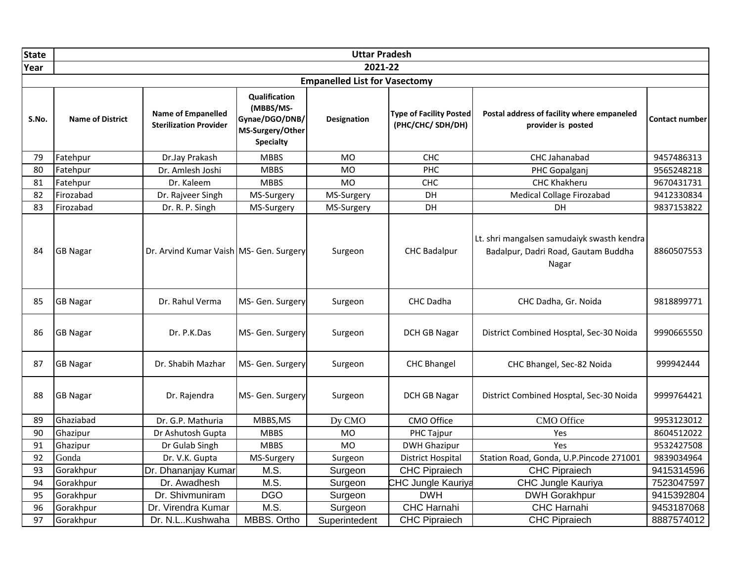| <b>State</b> |                         |                                                            |                                                                                      | <b>Uttar Pradesh</b>                 |                                                    |                                                                                            |                       |
|--------------|-------------------------|------------------------------------------------------------|--------------------------------------------------------------------------------------|--------------------------------------|----------------------------------------------------|--------------------------------------------------------------------------------------------|-----------------------|
| Year         |                         |                                                            |                                                                                      | 2021-22                              |                                                    |                                                                                            |                       |
|              |                         |                                                            |                                                                                      | <b>Empanelled List for Vasectomy</b> |                                                    |                                                                                            |                       |
| S.No.        | <b>Name of District</b> | <b>Name of Empanelled</b><br><b>Sterilization Provider</b> | Qualification<br>(MBBS/MS-<br>Gynae/DGO/DNB/<br>MS-Surgery/Other<br><b>Specialty</b> | <b>Designation</b>                   | <b>Type of Facility Posted</b><br>(PHC/CHC/SDH/DH) | Postal address of facility where empaneled<br>provider is posted                           | <b>Contact number</b> |
| 79           | Fatehpur                | Dr.Jay Prakash                                             | <b>MBBS</b>                                                                          | <b>MO</b>                            | <b>CHC</b>                                         | CHC Jahanabad                                                                              | 9457486313            |
| 80           | Fatehpur                | Dr. Amlesh Joshi                                           | <b>MBBS</b>                                                                          | <b>MO</b>                            | <b>PHC</b>                                         | PHC Gopalganj                                                                              | 9565248218            |
| 81           | Fatehpur                | Dr. Kaleem                                                 | <b>MBBS</b>                                                                          | <b>MO</b>                            | CHC                                                | <b>CHC Khakheru</b>                                                                        | 9670431731            |
| 82           | Firozabad               | Dr. Rajveer Singh                                          | MS-Surgery                                                                           | MS-Surgery                           | <b>DH</b>                                          | Medical Collage Firozabad                                                                  | 9412330834            |
| 83           | Firozabad               | Dr. R. P. Singh                                            | MS-Surgery                                                                           | MS-Surgery                           | DH                                                 | DH                                                                                         | 9837153822            |
| 84           | <b>GB Nagar</b>         | Dr. Arvind Kumar Vaish MS- Gen. Surgery                    |                                                                                      | Surgeon                              | <b>CHC Badalpur</b>                                | Lt. shri mangalsen samudaiyk swasth kendra<br>Badalpur, Dadri Road, Gautam Buddha<br>Nagar | 8860507553            |
| 85           | <b>GB Nagar</b>         | Dr. Rahul Verma                                            | MS- Gen. Surgery                                                                     | Surgeon                              | CHC Dadha                                          | CHC Dadha, Gr. Noida                                                                       | 9818899771            |
| 86           | <b>GB Nagar</b>         | Dr. P.K.Das                                                | MS- Gen. Surgery                                                                     | Surgeon                              | <b>DCH GB Nagar</b>                                | District Combined Hosptal, Sec-30 Noida                                                    | 9990665550            |
| 87           | <b>GB Nagar</b>         | Dr. Shabih Mazhar                                          | MS- Gen. Surgery                                                                     | Surgeon                              | <b>CHC Bhangel</b>                                 | CHC Bhangel, Sec-82 Noida                                                                  | 999942444             |
| 88           | <b>GB Nagar</b>         | Dr. Rajendra                                               | MS- Gen. Surgery                                                                     | Surgeon                              | <b>DCH GB Nagar</b>                                | District Combined Hosptal, Sec-30 Noida                                                    | 9999764421            |
| 89           | Ghaziabad               | Dr. G.P. Mathuria                                          | MBBS, MS                                                                             | Dy CMO                               | CMO Office                                         | CMO Office                                                                                 | 9953123012            |
| 90           | Ghazipur                | Dr Ashutosh Gupta                                          | <b>MBBS</b>                                                                          | <b>MO</b>                            | PHC Tajpur                                         | Yes                                                                                        | 8604512022            |
| 91           | Ghazipur                | Dr Gulab Singh                                             | <b>MBBS</b>                                                                          | <b>MO</b>                            | <b>DWH Ghazipur</b>                                | Yes                                                                                        | 9532427508            |
| 92           | Gonda                   | Dr. V.K. Gupta                                             | MS-Surgery                                                                           | Surgeon                              | <b>District Hospital</b>                           | Station Road, Gonda, U.P.Pincode 271001                                                    | 9839034964            |
| 93           | Gorakhpur               | Dr. Dhananjay Kumar                                        | $M.\overline{S}$                                                                     | Surgeon                              | <b>CHC Pipraiech</b>                               | <b>CHC Pipraiech</b>                                                                       | 9415314596            |
| 94           | Gorakhpur               | Dr. Awadhesh                                               | M.S.                                                                                 | Surgeon                              | CHC Jungle Kauriya                                 | CHC Jungle Kauriya                                                                         | 7523047597            |
| 95           | Gorakhpur               | Dr. Shivmuniram                                            | <b>DGO</b>                                                                           | Surgeon                              | <b>DWH</b>                                         | <b>DWH Gorakhpur</b>                                                                       | 9415392804            |
| 96           | Gorakhpur               | Dr. Virendra Kumar                                         | M.S.                                                                                 | Surgeon                              | CHC Harnahi                                        | <b>CHC Harnahi</b>                                                                         | 9453187068            |
| 97           | Gorakhpur               | Dr. N.LKushwaha                                            | MBBS. Ortho                                                                          | Superintedent                        | <b>CHC Pipraiech</b>                               | <b>CHC Pipraiech</b>                                                                       | 8887574012            |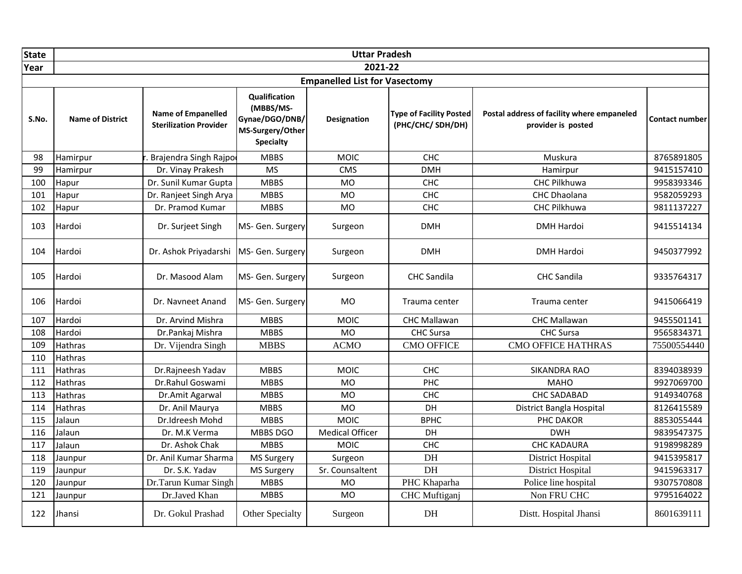| State |                         |                                                     |                                                                                      | <b>Uttar Pradesh</b>                 |                                                    |                                                                  |                       |
|-------|-------------------------|-----------------------------------------------------|--------------------------------------------------------------------------------------|--------------------------------------|----------------------------------------------------|------------------------------------------------------------------|-----------------------|
| Year  |                         |                                                     |                                                                                      | 2021-22                              |                                                    |                                                                  |                       |
|       |                         |                                                     |                                                                                      | <b>Empanelled List for Vasectomy</b> |                                                    |                                                                  |                       |
| S.No. | <b>Name of District</b> | Name of Empanelled<br><b>Sterilization Provider</b> | Qualification<br>(MBBS/MS-<br>Gynae/DGO/DNB/<br>MS-Surgery/Other<br><b>Specialty</b> | Designation                          | <b>Type of Facility Posted</b><br>(PHC/CHC/SDH/DH) | Postal address of facility where empaneled<br>provider is posted | <b>Contact number</b> |
| 98    | Hamirpur                | . Brajendra Singh Rajpo                             | <b>MBBS</b>                                                                          | <b>MOIC</b>                          | CHC                                                | Muskura                                                          | 8765891805            |
| 99    | Hamirpur                | Dr. Vinay Prakesh                                   | <b>MS</b>                                                                            | <b>CMS</b>                           | <b>DMH</b>                                         | Hamirpur                                                         | 9415157410            |
| 100   | Hapur                   | Dr. Sunil Kumar Gupta                               | <b>MBBS</b>                                                                          | <b>MO</b>                            | <b>CHC</b>                                         | <b>CHC Pilkhuwa</b>                                              | 9958393346            |
| 101   | Hapur                   | Dr. Ranjeet Singh Arya                              | <b>MBBS</b>                                                                          | <b>MO</b>                            | <b>CHC</b>                                         | <b>CHC Dhaolana</b>                                              | 9582059293            |
| 102   | Hapur                   | Dr. Pramod Kumar                                    | <b>MBBS</b>                                                                          | <b>MO</b>                            | <b>CHC</b>                                         | CHC Pilkhuwa                                                     | 9811137227            |
| 103   | Hardoi                  | Dr. Surjeet Singh                                   | MS- Gen. Surgery                                                                     | Surgeon                              | <b>DMH</b>                                         | <b>DMH Hardoi</b>                                                | 9415514134            |
| 104   | Hardoi                  | Dr. Ashok Priyadarshi                               | MS- Gen. Surgery                                                                     | Surgeon                              | <b>DMH</b>                                         | <b>DMH Hardoi</b>                                                | 9450377992            |
| 105   | Hardoi                  | Dr. Masood Alam                                     | MS- Gen. Surgery                                                                     | Surgeon                              | <b>CHC Sandila</b>                                 | <b>CHC</b> Sandila                                               | 9335764317            |
| 106   | Hardoi                  | Dr. Navneet Anand                                   | MS- Gen. Surgery                                                                     | <b>MO</b>                            | Trauma center                                      | Trauma center                                                    | 9415066419            |
| 107   | Hardoi                  | Dr. Arvind Mishra                                   | <b>MBBS</b>                                                                          | <b>MOIC</b>                          | <b>CHC Mallawan</b>                                | <b>CHC Mallawan</b>                                              | 9455501141            |
| 108   | Hardoi                  | Dr.Pankaj Mishra                                    | <b>MBBS</b>                                                                          | <b>MO</b>                            | CHC Sursa                                          | CHC Sursa                                                        | 9565834371            |
| 109   | <b>Hathras</b>          | Dr. Vijendra Singh                                  | <b>MBBS</b>                                                                          | <b>ACMO</b>                          | <b>CMO OFFICE</b>                                  | <b>CMO OFFICE HATHRAS</b>                                        | 75500554440           |
| 110   | Hathras                 |                                                     |                                                                                      |                                      |                                                    |                                                                  |                       |
| 111   | <b>Hathras</b>          | Dr.Rajneesh Yadav                                   | <b>MBBS</b>                                                                          | <b>MOIC</b>                          | CHC                                                | <b>SIKANDRA RAO</b>                                              | 8394038939            |
| 112   | <b>Hathras</b>          | Dr.Rahul Goswami                                    | <b>MBBS</b>                                                                          | <b>MO</b>                            | PHC                                                | <b>MAHO</b>                                                      | 9927069700            |
| 113   | <b>Hathras</b>          | Dr.Amit Agarwal                                     | <b>MBBS</b>                                                                          | <b>MO</b>                            | CHC                                                | <b>CHC SADABAD</b>                                               | 9149340768            |
| 114   | Hathras                 | Dr. Anil Maurya                                     | <b>MBBS</b>                                                                          | <b>MO</b>                            | DH                                                 | District Bangla Hospital                                         | 8126415589            |
| 115   | Jalaun                  | Dr.Idreesh Mohd                                     | <b>MBBS</b>                                                                          | <b>MOIC</b>                          | <b>BPHC</b>                                        | PHC DAKOR                                                        | 8853055444            |
| 116   | Jalaun                  | Dr. M.K Verma                                       | MBBS DGO                                                                             | <b>Medical Officer</b>               | DH                                                 | <b>DWH</b>                                                       | 9839547375            |
| 117   | Jalaun                  | Dr. Ashok Chak                                      | <b>MBBS</b>                                                                          | <b>MOIC</b>                          | CHC                                                | <b>CHC KADAURA</b>                                               | 9198998289            |
| 118   | Jaunpur                 | Dr. Anil Kumar Sharma                               | <b>MS Surgery</b>                                                                    | Surgeon                              | DH                                                 | <b>District Hospital</b>                                         | 9415395817            |
| 119   | Jaunpur                 | Dr. S.K. Yadav                                      | <b>MS Surgery</b>                                                                    | Sr. Counsaltent                      | DH                                                 | <b>District Hospital</b>                                         | 9415963317            |
| 120   | Jaunpur                 | Dr.Tarun Kumar Singh                                | <b>MBBS</b>                                                                          | <b>MO</b>                            | PHC Khaparha                                       | Police line hospital                                             | 9307570808            |
| 121   | Jaunpur                 | Dr.Javed Khan                                       | <b>MBBS</b>                                                                          | <b>MO</b>                            | CHC Muftiganj                                      | Non FRU CHC                                                      | 9795164022            |
| 122   | Jhansi                  | Dr. Gokul Prashad                                   | Other Specialty                                                                      | Surgeon                              | DH                                                 | Distt. Hospital Jhansi                                           | 8601639111            |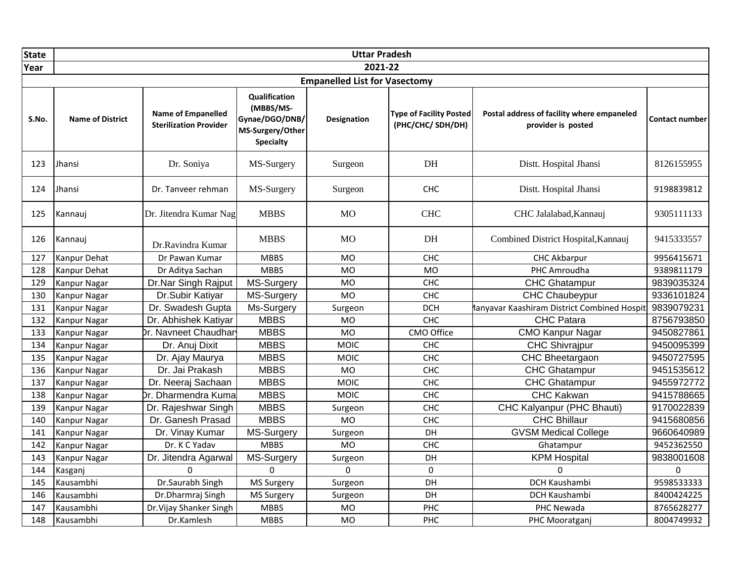| <b>State</b> |                         |                                                            |                                                                                      | <b>Uttar Pradesh</b>                 |                                                    |                                                                  |                       |
|--------------|-------------------------|------------------------------------------------------------|--------------------------------------------------------------------------------------|--------------------------------------|----------------------------------------------------|------------------------------------------------------------------|-----------------------|
| Year         |                         |                                                            |                                                                                      | 2021-22                              |                                                    |                                                                  |                       |
|              |                         |                                                            |                                                                                      | <b>Empanelled List for Vasectomy</b> |                                                    |                                                                  |                       |
| S.No.        | <b>Name of District</b> | <b>Name of Empanelled</b><br><b>Sterilization Provider</b> | Qualification<br>(MBBS/MS-<br>Gynae/DGO/DNB/<br>MS-Surgery/Other<br><b>Specialty</b> | <b>Designation</b>                   | <b>Type of Facility Posted</b><br>(PHC/CHC/SDH/DH) | Postal address of facility where empaneled<br>provider is posted | <b>Contact number</b> |
| 123          | Jhansi                  | Dr. Soniya                                                 | MS-Surgery                                                                           | Surgeon                              | DH                                                 | Distt. Hospital Jhansi                                           | 8126155955            |
| 124          | Jhansi                  | Dr. Tanveer rehman                                         | MS-Surgery                                                                           | Surgeon                              | <b>CHC</b>                                         | Distt. Hospital Jhansi                                           | 9198839812            |
| 125          | Kannauj                 | Dr. Jitendra Kumar Nag                                     | <b>MBBS</b>                                                                          | <b>MO</b>                            | <b>CHC</b>                                         | CHC Jalalabad, Kannauj                                           | 9305111133            |
| 126          | Kannauj                 | Dr.Ravindra Kumar                                          | <b>MBBS</b>                                                                          | M <sub>O</sub>                       | DH                                                 | Combined District Hospital, Kannauj                              | 9415333557            |
| 127          | Kanpur Dehat            | Dr Pawan Kumar                                             | <b>MBBS</b>                                                                          | <b>MO</b>                            | CHC                                                | <b>CHC Akbarpur</b>                                              | 9956415671            |
| 128          | Kanpur Dehat            | Dr Aditya Sachan                                           | <b>MBBS</b>                                                                          | <b>MO</b>                            | <b>MO</b>                                          | PHC Amroudha                                                     | 9389811179            |
| 129          | <b>Kanpur Nagar</b>     | Dr.Nar Singh Rajput                                        | MS-Surgery                                                                           | <b>MO</b>                            | CHC                                                | <b>CHC Ghatampur</b>                                             | 9839035324            |
| 130          | <b>Kanpur Nagar</b>     | Dr.Subir Katiyar                                           | MS-Surgery                                                                           | <b>MO</b>                            | CHC                                                | <b>CHC Chaubeypur</b>                                            | 9336101824            |
| 131          | <b>Kanpur Nagar</b>     | Dr. Swadesh Gupta                                          | Ms-Surgery                                                                           | Surgeon                              | <b>DCH</b>                                         | lanyavar Kaashiram District Combined Hospit                      | 9839079231            |
| 132          | <b>Kanpur Nagar</b>     | Dr. Abhishek Katiyar                                       | <b>MBBS</b>                                                                          | <b>MO</b>                            | CHC                                                | <b>CHC Patara</b>                                                | 8756793850            |
| 133          | <b>Kanpur Nagar</b>     | Dr. Navneet Chaudhar                                       | <b>MBBS</b>                                                                          | <b>MO</b>                            | CMO Office                                         | <b>CMO Kanpur Nagar</b>                                          | 9450827861            |
| 134          | Kanpur Nagar            | Dr. Anuj Dixit                                             | <b>MBBS</b>                                                                          | <b>MOIC</b>                          | CHC                                                | <b>CHC Shivrajpur</b>                                            | 9450095399            |
| 135          | <b>Kanpur Nagar</b>     | Dr. Ajay Maurya                                            | <b>MBBS</b>                                                                          | <b>MOIC</b>                          | CHC                                                | <b>CHC Bheetargaon</b>                                           | 9450727595            |
| 136          | <b>Kanpur Nagar</b>     | Dr. Jai Prakash                                            | <b>MBBS</b>                                                                          | <b>MO</b>                            | CHC                                                | CHC Ghatampur                                                    | 9451535612            |
| 137          | <b>Kanpur Nagar</b>     | Dr. Neeraj Sachaan                                         | <b>MBBS</b>                                                                          | <b>MOIC</b>                          | CHC                                                | <b>CHC Ghatampur</b>                                             | 9455972772            |
| 138          | Kanpur Nagar            | Dr. Dharmendra Kuma                                        | <b>MBBS</b>                                                                          | <b>MOIC</b>                          | <b>CHC</b>                                         | <b>CHC Kakwan</b>                                                | 9415788665            |
| 139          | <b>Kanpur Nagar</b>     | Dr. Rajeshwar Singh                                        | <b>MBBS</b>                                                                          | Surgeon                              | CHC                                                | CHC Kalyanpur (PHC Bhauti)                                       | 9170022839            |
| 140          | <b>Kanpur Nagar</b>     | Dr. Ganesh Prasad                                          | <b>MBBS</b>                                                                          | <b>MO</b>                            | CHC                                                | <b>CHC Bhillaur</b>                                              | 9415680856            |
| 141          | <b>Kanpur Nagar</b>     | Dr. Vinay Kumar                                            | MS-Surgery                                                                           | Surgeon                              | DH                                                 | <b>GVSM Medical College</b>                                      | 9660640989            |
| 142          | Kanpur Nagar            | Dr. K C Yadav                                              | <b>MBBS</b>                                                                          | <b>MO</b>                            | <b>CHC</b>                                         | Ghatampur                                                        | 9452362550            |
| 143          | <b>Kanpur Nagar</b>     | Dr. Jitendra Agarwal                                       | MS-Surgery                                                                           | Surgeon                              | DH                                                 | <b>KPM Hospital</b>                                              | 9838001608            |
| 144          | Kasganj                 | $\Omega$                                                   | $\Omega$                                                                             | $\Omega$                             | $\Omega$                                           | 0                                                                | 0                     |
| 145          | Kausambhi               | Dr.Saurabh Singh                                           | <b>MS Surgery</b>                                                                    | Surgeon                              | DH                                                 | DCH Kaushambi                                                    | 9598533333            |
| 146          | Kausambhi               | Dr.Dharmraj Singh                                          | MS Surgery                                                                           | Surgeon                              | DH                                                 | DCH Kaushambi                                                    | 8400424225            |
| 147          | Kausambhi               | Dr. Vijay Shanker Singh                                    | <b>MBBS</b>                                                                          | <b>MO</b>                            | PHC                                                | PHC Newada                                                       | 8765628277            |
| 148          | Kausambhi               | Dr.Kamlesh                                                 | <b>MBBS</b>                                                                          | <b>MO</b>                            | PHC                                                | PHC Mooratganj                                                   | 8004749932            |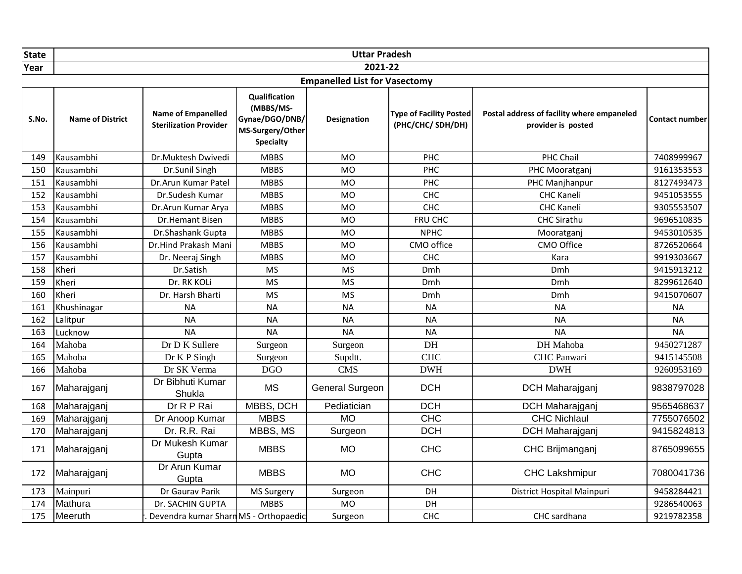| <b>State</b> |                         |                                                            |                                                                                             | <b>Uttar Pradesh</b>                 |                                                    |                                                                  |                       |
|--------------|-------------------------|------------------------------------------------------------|---------------------------------------------------------------------------------------------|--------------------------------------|----------------------------------------------------|------------------------------------------------------------------|-----------------------|
| Year         |                         |                                                            |                                                                                             | 2021-22                              |                                                    |                                                                  |                       |
|              |                         |                                                            |                                                                                             | <b>Empanelled List for Vasectomy</b> |                                                    |                                                                  |                       |
| S.No.        | <b>Name of District</b> | <b>Name of Empanelled</b><br><b>Sterilization Provider</b> | <b>Qualification</b><br>(MBBS/MS-<br>Gynae/DGO/DNB/<br>MS-Surgery/Other<br><b>Specialty</b> | <b>Designation</b>                   | <b>Type of Facility Posted</b><br>(PHC/CHC/SDH/DH) | Postal address of facility where empaneled<br>provider is posted | <b>Contact number</b> |
| 149          | Kausambhi               | Dr.Muktesh Dwivedi                                         | <b>MBBS</b>                                                                                 | <b>MO</b>                            | PHC                                                | PHC Chail                                                        | 7408999967            |
| 150          | Kausambhi               | Dr.Sunil Singh                                             | <b>MBBS</b>                                                                                 | <b>MO</b>                            | PHC                                                | PHC Mooratganj                                                   | 9161353553            |
| 151          | Kausambhi               | Dr.Arun Kumar Patel                                        | <b>MBBS</b>                                                                                 | <b>MO</b>                            | PHC                                                | PHC Manjhanpur                                                   | 8127493473            |
| 152          | Kausambhi               | Dr.Sudesh Kumar                                            | <b>MBBS</b>                                                                                 | <b>MO</b>                            | CHC                                                | <b>CHC Kaneli</b>                                                | 9451053555            |
| 153          | Kausambhi               | Dr.Arun Kumar Arya                                         | <b>MBBS</b>                                                                                 | <b>MO</b>                            | CHC                                                | <b>CHC Kaneli</b>                                                | 9305553507            |
| 154          | Kausambhi               | Dr.Hemant Bisen                                            | <b>MBBS</b>                                                                                 | <b>MO</b>                            | FRU CHC                                            | <b>CHC Sirathu</b>                                               | 9696510835            |
| 155          | Kausambhi               | Dr.Shashank Gupta                                          | <b>MBBS</b>                                                                                 | <b>MO</b>                            | <b>NPHC</b>                                        | Mooratganj                                                       | 9453010535            |
| 156          | Kausambhi               | Dr.Hind Prakash Mani                                       | <b>MBBS</b>                                                                                 | <b>MO</b>                            | CMO office                                         | CMO Office                                                       | 8726520664            |
| 157          | Kausambhi               | Dr. Neeraj Singh                                           | <b>MBBS</b>                                                                                 | <b>MO</b>                            | CHC                                                | Kara                                                             | 9919303667            |
| 158          | Kheri                   | Dr.Satish                                                  | <b>MS</b>                                                                                   | <b>MS</b>                            | Dmh                                                | Dmh                                                              | 9415913212            |
| 159          | Kheri                   | Dr. RK KOLi                                                | <b>MS</b>                                                                                   | <b>MS</b>                            | Dmh                                                | Dmh                                                              | 8299612640            |
| 160          | Kheri                   | Dr. Harsh Bharti                                           | <b>MS</b>                                                                                   | <b>MS</b>                            | Dmh                                                | Dmh                                                              | 9415070607            |
| 161          | Khushinagar             | <b>NA</b>                                                  | <b>NA</b>                                                                                   | <b>NA</b>                            | <b>NA</b>                                          | <b>NA</b>                                                        | <b>NA</b>             |
| 162          | Lalitpur                | <b>NA</b>                                                  | <b>NA</b>                                                                                   | <b>NA</b>                            | <b>NA</b>                                          | <b>NA</b>                                                        | <b>NA</b>             |
| 163          | Lucknow                 | <b>NA</b>                                                  | <b>NA</b>                                                                                   | <b>NA</b>                            | <b>NA</b>                                          | <b>NA</b>                                                        | <b>NA</b>             |
| 164          | Mahoba                  | Dr D K Sullere                                             | Surgeon                                                                                     | Surgeon                              | DH                                                 | DH Mahoba                                                        | 9450271287            |
| 165          | Mahoba                  | Dr K P Singh                                               | Surgeon                                                                                     | Supdtt.                              | <b>CHC</b>                                         | CHC Panwari                                                      | 9415145508            |
| 166          | Mahoba                  | Dr SK Verma                                                | <b>DGO</b>                                                                                  | <b>CMS</b>                           | <b>DWH</b>                                         | <b>DWH</b>                                                       | 9260953169            |
| 167          | Maharajganj             | Dr Bibhuti Kumar<br>Shukla                                 | <b>MS</b>                                                                                   | <b>General Surgeon</b>               | <b>DCH</b>                                         | <b>DCH Maharajganj</b>                                           | 9838797028            |
| 168          | Maharajganj             | Dr R P Rai                                                 | MBBS, DCH                                                                                   | Pediatician                          | <b>DCH</b>                                         | DCH Maharajganj                                                  | 9565468637            |
| 169          | Maharajganj             | Dr Anoop Kumar                                             | <b>MBBS</b>                                                                                 | <b>MO</b>                            | CHC                                                | <b>CHC Nichlaul</b>                                              | 7755076502            |
| 170          | Maharajganj             | Dr. R.R. Rai                                               | MBBS, MS                                                                                    | Surgeon                              | <b>DCH</b>                                         | DCH Maharajganj                                                  | 9415824813            |
| 171          | Maharajganj             | Dr Mukesh Kumar<br>Gupta                                   | <b>MBBS</b>                                                                                 | <b>MO</b>                            | <b>CHC</b>                                         | CHC Brijmanganj                                                  | 8765099655            |
| 172          | Maharajganj             | Dr Arun Kumar<br>Gupta                                     | <b>MBBS</b>                                                                                 | <b>MO</b>                            | CHC                                                | <b>CHC Lakshmipur</b>                                            | 7080041736            |
| 173          | Mainpuri                | Dr Gaurav Parik                                            | <b>MS Surgery</b>                                                                           | Surgeon                              | <b>DH</b>                                          | District Hospital Mainpuri                                       | 9458284421            |
| 174          | Mathura                 | Dr. SACHIN GUPTA                                           | <b>MBBS</b>                                                                                 | <b>MO</b>                            | DH                                                 |                                                                  | 9286540063            |
| 175          | Meeruth                 | Devendra kumar Sharn MS - Orthopaedic                      |                                                                                             | Surgeon                              | CHC                                                | CHC sardhana                                                     | 9219782358            |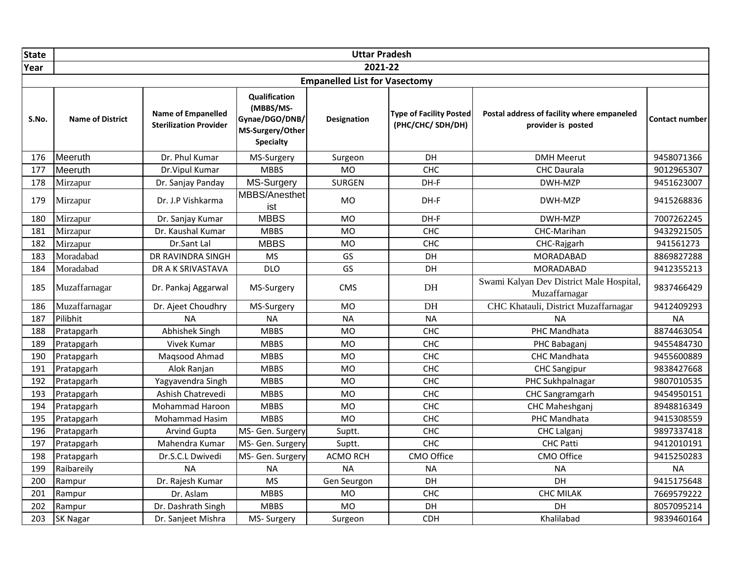| State |                         |                                                     |                                                                                      | <b>Uttar Pradesh</b>                 |                                                    |                                                                  |                       |
|-------|-------------------------|-----------------------------------------------------|--------------------------------------------------------------------------------------|--------------------------------------|----------------------------------------------------|------------------------------------------------------------------|-----------------------|
| Year  |                         |                                                     |                                                                                      | 2021-22                              |                                                    |                                                                  |                       |
|       |                         |                                                     |                                                                                      | <b>Empanelled List for Vasectomy</b> |                                                    |                                                                  |                       |
| S.No. | <b>Name of District</b> | Name of Empanelled<br><b>Sterilization Provider</b> | Qualification<br>(MBBS/MS-<br>Gynae/DGO/DNB/<br>MS-Surgery/Other<br><b>Specialty</b> | <b>Designation</b>                   | <b>Type of Facility Posted</b><br>(PHC/CHC/SDH/DH) | Postal address of facility where empaneled<br>provider is posted | <b>Contact number</b> |
| 176   | Meeruth                 | Dr. Phul Kumar                                      | MS-Surgery                                                                           | Surgeon                              | DH                                                 | <b>DMH Meerut</b>                                                | 9458071366            |
| 177   | Meeruth                 | Dr. Vipul Kumar                                     | <b>MBBS</b>                                                                          | <b>MO</b>                            | CHC                                                | <b>CHC Daurala</b>                                               | 9012965307            |
| 178   | Mirzapur                | Dr. Sanjay Panday                                   | MS-Surgery                                                                           | SURGEN                               | DH-F                                               | DWH-MZP                                                          | 9451623007            |
| 179   | Mirzapur                | Dr. J.P Vishkarma                                   | MBBS/Anesthet<br>ist                                                                 | <b>MO</b>                            | DH-F                                               | DWH-MZP                                                          | 9415268836            |
| 180   | Mirzapur                | Dr. Sanjay Kumar                                    | <b>MBBS</b>                                                                          | <b>MO</b>                            | DH-F                                               | DWH-MZP                                                          | 7007262245            |
| 181   | Mirzapur                | Dr. Kaushal Kumar                                   | <b>MBBS</b>                                                                          | MO                                   | CHC                                                | CHC-Marihan                                                      | 9432921505            |
| 182   | Mirzapur                | Dr.Sant Lal                                         | <b>MBBS</b>                                                                          | MO                                   | CHC                                                | CHC-Rajgarh                                                      | 941561273             |
| 183   | Moradabad               | DR RAVINDRA SINGH                                   | <b>MS</b>                                                                            | GS                                   | DH                                                 | <b>MORADABAD</b>                                                 | 8869827288            |
| 184   | Moradabad               | DR A K SRIVASTAVA                                   | <b>DLO</b>                                                                           | GS                                   | DH                                                 | <b>MORADABAD</b>                                                 | 9412355213            |
| 185   | Muzaffarnagar           | Dr. Pankaj Aggarwal                                 | MS-Surgery                                                                           | <b>CMS</b>                           | DH                                                 | Swami Kalyan Dev District Male Hospital,<br>Muzaffarnagar        | 9837466429            |
| 186   | Muzaffarnagar           | Dr. Ajeet Choudhry                                  | MS-Surgery                                                                           | <b>MO</b>                            | DH                                                 | CHC Khatauli, District Muzaffarnagar                             | 9412409293            |
| 187   | Pilibhit                | <b>NA</b>                                           | <b>NA</b>                                                                            | <b>NA</b>                            | <b>NA</b>                                          | <b>NA</b>                                                        | <b>NA</b>             |
| 188   | Pratapgarh              | Abhishek Singh                                      | <b>MBBS</b>                                                                          | <b>MO</b>                            | CHC                                                | PHC Mandhata                                                     | 8874463054            |
| 189   | Pratapgarh              | Vivek Kumar                                         | <b>MBBS</b>                                                                          | <b>MO</b>                            | CHC                                                | PHC Babaganj                                                     | 9455484730            |
| 190   | Pratapgarh              | Magsood Ahmad                                       | <b>MBBS</b>                                                                          | <b>MO</b>                            | CHC                                                | CHC Mandhata                                                     | 9455600889            |
| 191   | Pratapgarh              | Alok Ranjan                                         | <b>MBBS</b>                                                                          | <b>MO</b>                            | <b>CHC</b>                                         | <b>CHC Sangipur</b>                                              | 9838427668            |
| 192   | Pratapgarh              | Yagyavendra Singh                                   | <b>MBBS</b>                                                                          | <b>MO</b>                            | <b>CHC</b>                                         | PHC Sukhpalnagar                                                 | 9807010535            |
| 193   | Pratapgarh              | Ashish Chatrevedi                                   | <b>MBBS</b>                                                                          | <b>MO</b>                            | CHC                                                | CHC Sangramgarh                                                  | 9454950151            |
| 194   | Pratapgarh              | <b>Mohammad Haroon</b>                              | <b>MBBS</b>                                                                          | <b>MO</b>                            | CHC                                                | CHC Maheshganj                                                   | 8948816349            |
| 195   | Pratapgarh              | Mohammad Hasim                                      | <b>MBBS</b>                                                                          | MO                                   | CHC                                                | PHC Mandhata                                                     | 9415308559            |
| 196   | Pratapgarh              | <b>Arvind Gupta</b>                                 | MS- Gen. Surgery                                                                     | Suptt.                               | <b>CHC</b>                                         | <b>CHC Lalganj</b>                                               | 9897337418            |
| 197   | Pratapgarh              | Mahendra Kumar                                      | MS- Gen. Surgery                                                                     | Suptt.                               | CHC                                                | CHC Patti                                                        | 9412010191            |
| 198   | Pratapgarh              | Dr.S.C.L Dwivedi                                    | MS- Gen. Surgery                                                                     | <b>ACMO RCH</b>                      | CMO Office                                         | CMO Office                                                       | 9415250283            |
| 199   | Raibareily              | <b>NA</b>                                           | <b>NA</b>                                                                            | <b>NA</b>                            | <b>NA</b>                                          | <b>NA</b>                                                        | <b>NA</b>             |
| 200   | Rampur                  | Dr. Rajesh Kumar                                    | <b>MS</b>                                                                            | Gen Seurgon                          | DH                                                 | DH                                                               | 9415175648            |
| 201   | Rampur                  | Dr. Aslam                                           | <b>MBBS</b>                                                                          | <b>MO</b>                            | <b>CHC</b>                                         | <b>CHC MILAK</b>                                                 | 7669579222            |
| 202   | Rampur                  | Dr. Dashrath Singh                                  | <b>MBBS</b>                                                                          | <b>MO</b>                            | DH                                                 | DH                                                               | 8057095214            |
| 203   | <b>SK Nagar</b>         | Dr. Sanjeet Mishra                                  | MS-Surgery                                                                           | Surgeon                              | <b>CDH</b>                                         | Khalilabad                                                       | 9839460164            |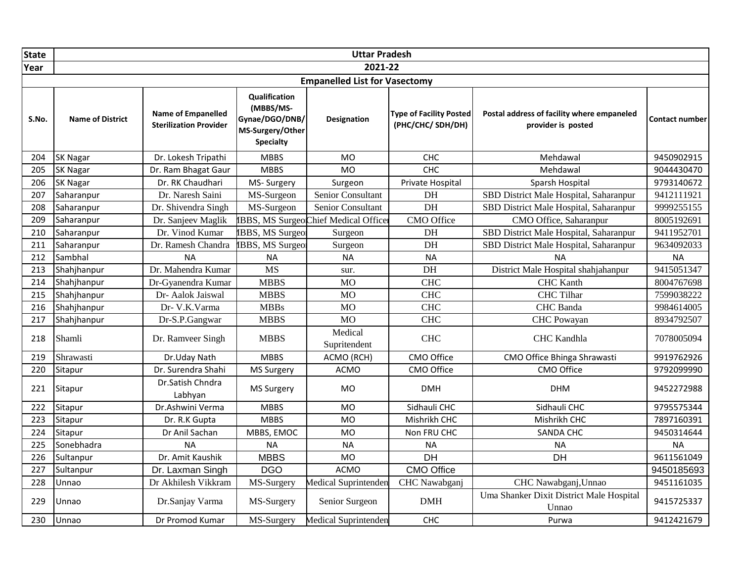| State |                         |                                                     |                                                                                             | <b>Uttar Pradesh</b>                 |                                                    |                                                                  |                |
|-------|-------------------------|-----------------------------------------------------|---------------------------------------------------------------------------------------------|--------------------------------------|----------------------------------------------------|------------------------------------------------------------------|----------------|
| Year  |                         |                                                     |                                                                                             | 2021-22                              |                                                    |                                                                  |                |
|       |                         |                                                     |                                                                                             | <b>Empanelled List for Vasectomy</b> |                                                    |                                                                  |                |
| S.No. | <b>Name of District</b> | Name of Empanelled<br><b>Sterilization Provider</b> | <b>Qualification</b><br>(MBBS/MS-<br>Gynae/DGO/DNB/<br>MS-Surgery/Other<br><b>Specialty</b> | Designation                          | <b>Type of Facility Posted</b><br>(PHC/CHC/SDH/DH) | Postal address of facility where empaneled<br>provider is posted | Contact number |
| 204   | <b>SK Nagar</b>         | Dr. Lokesh Tripathi                                 | <b>MBBS</b>                                                                                 | <b>MO</b>                            | CHC                                                | Mehdawal                                                         | 9450902915     |
| 205   | <b>SK Nagar</b>         | Dr. Ram Bhagat Gaur                                 | <b>MBBS</b>                                                                                 | <b>MO</b>                            | CHC                                                | Mehdawal                                                         | 9044430470     |
| 206   | <b>SK Nagar</b>         | Dr. RK Chaudhari                                    | MS-Surgery                                                                                  | Surgeon                              | Private Hospital                                   | Sparsh Hospital                                                  | 9793140672     |
| 207   | Saharanpur              | Dr. Naresh Saini                                    | MS-Surgeon                                                                                  | Senior Consultant                    | DH                                                 | SBD District Male Hospital, Saharanpur                           | 9412111921     |
| 208   | Saharanpur              | Dr. Shivendra Singh                                 | MS-Surgeon                                                                                  | Senior Consultant                    | DH                                                 | SBD District Male Hospital, Saharanpur                           | 9999255155     |
| 209   | Saharanpur              | Dr. Sanjeev Maglik                                  |                                                                                             | IBBS, MS SurgeoChief Medical Officer | CMO Office                                         | CMO Office, Saharanpur                                           | 8005192691     |
| 210   | Saharanpur              | Dr. Vinod Kumar                                     | IBBS, MS Surgeor                                                                            | Surgeon                              | DH                                                 | SBD District Male Hospital, Saharanpur                           | 9411952701     |
| 211   | Saharanpur              | Dr. Ramesh Chandra                                  | IBBS, MS Surgeor                                                                            | Surgeon                              | DH                                                 | SBD District Male Hospital, Saharanpur                           | 9634092033     |
| 212   | Sambhal                 | <b>NA</b>                                           | <b>NA</b>                                                                                   | <b>NA</b>                            | <b>NA</b>                                          | <b>NA</b>                                                        | <b>NA</b>      |
| 213   | Shahjhanpur             | Dr. Mahendra Kumar                                  | <b>MS</b>                                                                                   | sur.                                 | DH                                                 | District Male Hospital shahjahanpur                              | 9415051347     |
| 214   | Shahjhanpur             | Dr-Gyanendra Kumar                                  | <b>MBBS</b>                                                                                 | <b>MO</b>                            | <b>CHC</b>                                         | <b>CHC</b> Kanth                                                 | 8004767698     |
| 215   | Shahjhanpur             | Dr- Aalok Jaiswal                                   | <b>MBBS</b>                                                                                 | <b>MO</b>                            | <b>CHC</b>                                         | <b>CHC</b> Tilhar                                                | 7599038222     |
| 216   | Shahjhanpur             | Dr- V.K.Varma                                       | <b>MBBs</b>                                                                                 | <b>MO</b>                            | <b>CHC</b>                                         | CHC Banda                                                        | 9984614005     |
| 217   | Shahjhanpur             | Dr-S.P.Gangwar                                      | <b>MBBS</b>                                                                                 | <b>MO</b>                            | <b>CHC</b>                                         | <b>CHC</b> Powayan                                               | 8934792507     |
| 218   | Shamli                  | Dr. Ramveer Singh                                   | <b>MBBS</b>                                                                                 | Medical<br>Supritendent              | <b>CHC</b>                                         | <b>CHC</b> Kandhla                                               | 7078005094     |
| 219   | Shrawasti               | Dr.Uday Nath                                        | <b>MBBS</b>                                                                                 | ACMO (RCH)                           | CMO Office                                         | CMO Office Bhinga Shrawasti                                      | 9919762926     |
| 220   | Sitapur                 | Dr. Surendra Shahi                                  | <b>MS Surgery</b>                                                                           | <b>ACMO</b>                          | CMO Office                                         | CMO Office                                                       | 9792099990     |
| 221   | Sitapur                 | Dr.Satish Chndra<br>Labhyan                         | <b>MS Surgery</b>                                                                           | <b>MO</b>                            | <b>DMH</b>                                         | <b>DHM</b>                                                       | 9452272988     |
| 222   | Sitapur                 | Dr.Ashwini Verma                                    | <b>MBBS</b>                                                                                 | <b>MO</b>                            | Sidhauli CHC                                       | Sidhauli CHC                                                     | 9795575344     |
| 223   | Sitapur                 | Dr. R.K Gupta                                       | <b>MBBS</b>                                                                                 | <b>MO</b>                            | Mishrikh CHC                                       | Mishrikh CHC                                                     | 7897160391     |
| 224   | Sitapur                 | Dr Anil Sachan                                      | MBBS, EMOC                                                                                  | <b>MO</b>                            | Non FRU CHC                                        | SANDA CHC                                                        | 9450314644     |
| 225   | Sonebhadra              | <b>NA</b>                                           | <b>NA</b>                                                                                   | <b>NA</b>                            | <b>NA</b>                                          | <b>NA</b>                                                        | <b>NA</b>      |
| 226   | Sultanpur               | Dr. Amit Kaushik                                    | <b>MBBS</b>                                                                                 | <b>MO</b>                            | $\overline{DH}$                                    | DH                                                               | 9611561049     |
| 227   | Sultanpur               | Dr. Laxman Singh                                    | <b>DGO</b>                                                                                  | <b>ACMO</b>                          | <b>CMO Office</b>                                  |                                                                  | 9450185693     |
| 228   | Unnao                   | Dr Akhilesh Vikkram                                 | MS-Surgery                                                                                  | Medical Suprintenden                 | CHC Nawabganj                                      | CHC Nawabganj, Unnao                                             | 9451161035     |
| 229   | Unnao                   | Dr.Sanjay Varma                                     | MS-Surgery                                                                                  | Senior Surgeon                       | DMH                                                | Uma Shanker Dixit District Male Hospital<br>Unnao                | 9415725337     |
| 230   | Unnao                   | Dr Promod Kumar                                     | MS-Surgery                                                                                  | Medical Suprintenden                 | CHC                                                | Purwa                                                            | 9412421679     |